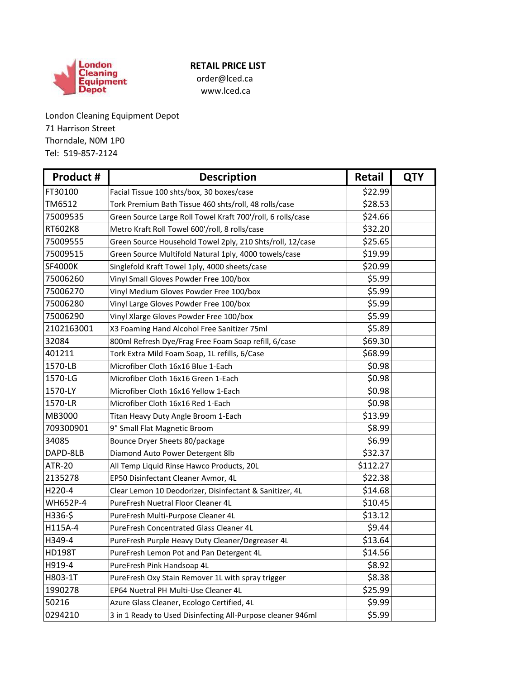

## **RETAIL PRICE LIST**

www.lced.ca

London Cleaning Equipment Depot 71 Harrison Street Tel: 519-857-2124 Thorndale, N0M 1P0

| Product #      | <b>Description</b>                                          | <b>Retail</b> | <b>QTY</b> |
|----------------|-------------------------------------------------------------|---------------|------------|
| FT30100        | Facial Tissue 100 shts/box, 30 boxes/case                   | \$22.99       |            |
| TM6512         | Tork Premium Bath Tissue 460 shts/roll, 48 rolls/case       | \$28.53       |            |
| 75009535       | Green Source Large Roll Towel Kraft 700'/roll, 6 rolls/case | \$24.66       |            |
| RT602K8        | Metro Kraft Roll Towel 600'/roll, 8 rolls/case              | \$32.20       |            |
| 75009555       | Green Source Household Towel 2ply, 210 Shts/roll, 12/case   | \$25.65       |            |
| 75009515       | Green Source Multifold Natural 1ply, 4000 towels/case       | \$19.99       |            |
| <b>SF4000K</b> | Singlefold Kraft Towel 1ply, 4000 sheets/case               | \$20.99       |            |
| 75006260       | Vinyl Small Gloves Powder Free 100/box                      | \$5.99        |            |
| 75006270       | Vinyl Medium Gloves Powder Free 100/box                     | \$5.99        |            |
| 75006280       | Vinyl Large Gloves Powder Free 100/box                      | \$5.99        |            |
| 75006290       | Vinyl Xlarge Gloves Powder Free 100/box                     | \$5.99        |            |
| 2102163001     | X3 Foaming Hand Alcohol Free Sanitizer 75ml                 | \$5.89        |            |
| 32084          | 800ml Refresh Dye/Frag Free Foam Soap refill, 6/case        | \$69.30       |            |
| 401211         | Tork Extra Mild Foam Soap, 1L refills, 6/Case               | \$68.99       |            |
| 1570-LB        | Microfiber Cloth 16x16 Blue 1-Each                          | \$0.98        |            |
| 1570-LG        | Microfiber Cloth 16x16 Green 1-Each                         | \$0.98        |            |
| 1570-LY        | Microfiber Cloth 16x16 Yellow 1-Each                        | \$0.98        |            |
| 1570-LR        | Microfiber Cloth 16x16 Red 1-Each                           | \$0.98        |            |
| MB3000         | Titan Heavy Duty Angle Broom 1-Each                         | \$13.99       |            |
| 709300901      | 9" Small Flat Magnetic Broom                                | \$8.99        |            |
| 34085          | Bounce Dryer Sheets 80/package                              | \$6.99        |            |
| DAPD-8LB       | Diamond Auto Power Detergent 8lb                            | \$32.37       |            |
| <b>ATR-20</b>  | All Temp Liquid Rinse Hawco Products, 20L                   | \$112.27      |            |
| 2135278        | EP50 Disinfectant Cleaner Avmor, 4L                         | \$22.38       |            |
| H220-4         | Clear Lemon 10 Deodorizer, Disinfectant & Sanitizer, 4L     | \$14.68       |            |
| WH652P-4       | PureFresh Nuetral Floor Cleaner 4L                          | \$10.45       |            |
| H336-\$        | PureFresh Multi-Purpose Cleaner 4L                          | \$13.12       |            |
| H115A-4        | PureFresh Concentrated Glass Cleaner 4L                     | \$9.44        |            |
| H349-4         | PureFresh Purple Heavy Duty Cleaner/Degreaser 4L            | \$13.64       |            |
| <b>HD198T</b>  | PureFresh Lemon Pot and Pan Detergent 4L                    | \$14.56       |            |
| H919-4         | PureFresh Pink Handsoap 4L                                  | \$8.92        |            |
| H803-1T        | PureFresh Oxy Stain Remover 1L with spray trigger           | \$8.38        |            |
| 1990278        | EP64 Nuetral PH Multi-Use Cleaner 4L                        | \$25.99       |            |
| 50216          | Azure Glass Cleaner, Ecologo Certified, 4L                  | \$9.99        |            |
| 0294210        | 3 in 1 Ready to Used Disinfecting All-Purpose cleaner 946ml | \$5.99        |            |